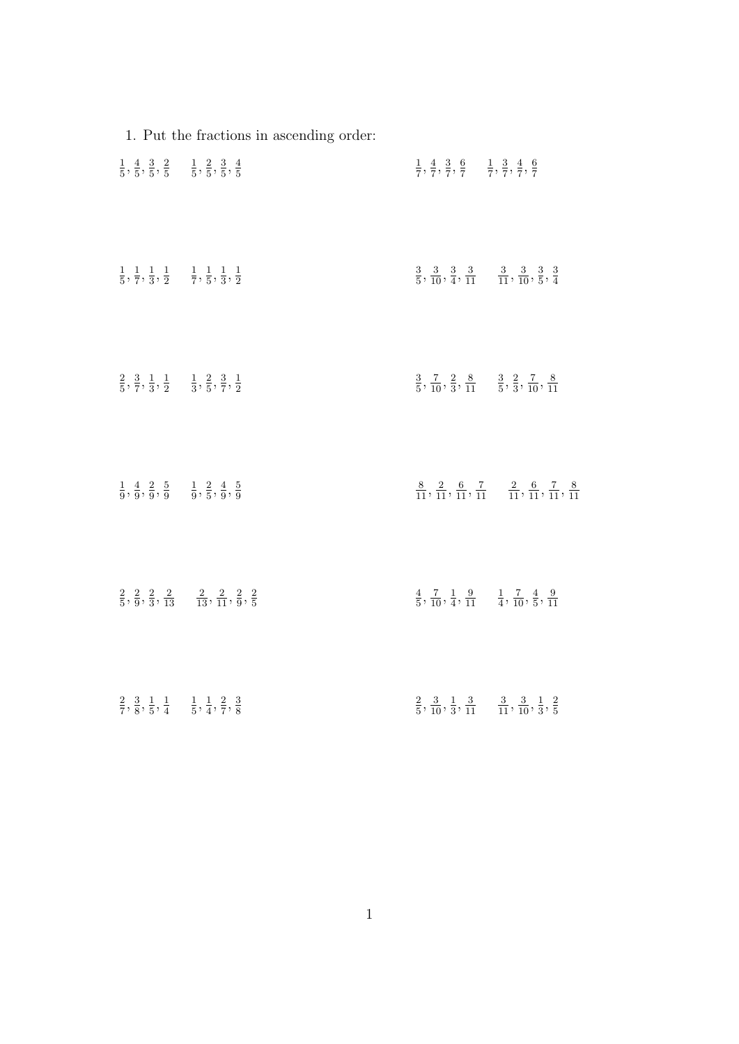|                                                                                                           | 1. Put the fractions in ascending order:                                                                     |                                                                                                               |                                                                                                                   |
|-----------------------------------------------------------------------------------------------------------|--------------------------------------------------------------------------------------------------------------|---------------------------------------------------------------------------------------------------------------|-------------------------------------------------------------------------------------------------------------------|
| $\frac{1}{5}, \frac{4}{5}, \frac{3}{5}, \frac{2}{5}$ $\frac{1}{5}, \frac{2}{5}, \frac{3}{5}, \frac{4}{5}$ |                                                                                                              | $\frac{1}{7},\frac{4}{7},\frac{3}{7},\frac{6}{7}\quad \frac{1}{7},\frac{3}{7},\frac{4}{7},\frac{6}{7}$        |                                                                                                                   |
| $\frac{1}{5}, \frac{1}{7}, \frac{1}{3}, \frac{1}{2}$ $\frac{1}{7}, \frac{1}{5}, \frac{1}{3}, \frac{1}{2}$ |                                                                                                              | $\frac{3}{5}, \frac{3}{10}, \frac{3}{4}, \frac{3}{11}$ $\frac{3}{11}, \frac{3}{10}, \frac{3}{5}, \frac{3}{4}$ |                                                                                                                   |
| $\frac{2}{5}, \frac{3}{7}, \frac{1}{3}, \frac{1}{2}$ $\frac{1}{3}, \frac{2}{5}, \frac{3}{7}, \frac{1}{2}$ |                                                                                                              | $\frac{3}{5}, \frac{7}{10}, \frac{2}{3}, \frac{8}{11}$ $\frac{3}{5}, \frac{2}{3}, \frac{7}{10}, \frac{8}{11}$ |                                                                                                                   |
| $\frac{1}{9}, \frac{4}{9}, \frac{2}{9}, \frac{5}{9}$ $\frac{1}{9}, \frac{2}{5}, \frac{4}{9}, \frac{5}{9}$ |                                                                                                              |                                                                                                               | $\frac{8}{11}, \frac{2}{11}, \frac{6}{11}, \frac{7}{11}$ $\frac{2}{11}, \frac{6}{11}, \frac{7}{11}, \frac{8}{11}$ |
|                                                                                                           | $\frac{2}{5}, \frac{2}{9}, \frac{2}{3}, \frac{2}{13}$ $\frac{2}{13}, \frac{2}{11}, \frac{2}{9}, \frac{2}{5}$ | $\frac{4}{5},\frac{7}{10},\frac{1}{4},\frac{9}{11} \quad \frac{1}{4},\frac{7}{10},\frac{4}{5},\frac{9}{11}$   |                                                                                                                   |
| $\frac{2}{7}, \frac{3}{8}, \frac{1}{5}, \frac{1}{4}$ $\frac{1}{5}, \frac{1}{4}, \frac{2}{7}, \frac{3}{8}$ |                                                                                                              | $\frac{2}{5}, \frac{3}{10}, \frac{1}{3}, \frac{3}{11}$ $\frac{3}{11}, \frac{3}{10}, \frac{1}{3}, \frac{2}{5}$ |                                                                                                                   |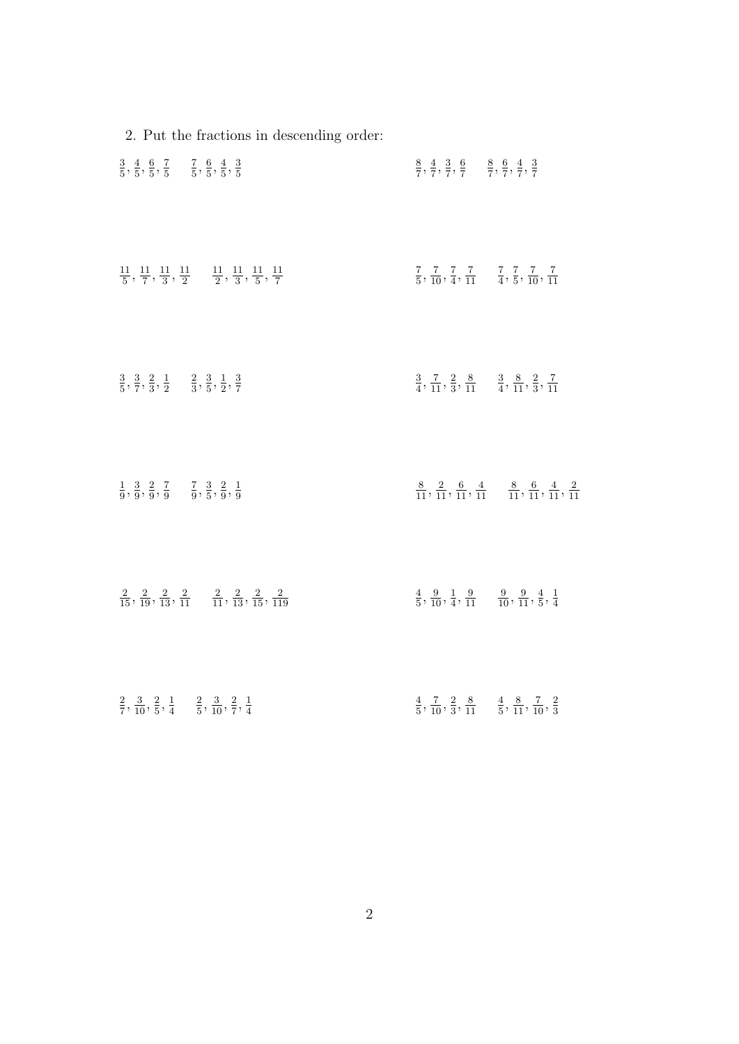| 2. Put the fractions in descending order:                                                                                           |                                                                                                                   |  |
|-------------------------------------------------------------------------------------------------------------------------------------|-------------------------------------------------------------------------------------------------------------------|--|
| $\frac{3}{5}, \frac{4}{5}, \frac{6}{5}, \frac{7}{5}$ $\frac{7}{5}, \frac{6}{5}, \frac{4}{5}, \frac{3}{5}$                           | $\frac{8}{7}, \frac{4}{7}, \frac{3}{7}, \frac{6}{7}$ $\frac{8}{7}, \frac{6}{7}, \frac{4}{7}, \frac{3}{7}$         |  |
| $\frac{11}{5}$ , $\frac{11}{7}$ , $\frac{11}{3}$ , $\frac{11}{2}$ $\frac{11}{2}$ , $\frac{11}{3}$ , $\frac{11}{5}$ , $\frac{11}{7}$ | $\frac{7}{5}, \frac{7}{10}, \frac{7}{4}, \frac{7}{11}$ $\frac{7}{4}, \frac{7}{5}, \frac{7}{10}, \frac{7}{11}$     |  |
| $\frac{3}{5}, \frac{3}{7}, \frac{2}{3}, \frac{1}{2}$ $\frac{2}{3}, \frac{3}{5}, \frac{1}{2}, \frac{3}{7}$                           | $\frac{3}{4}, \frac{7}{11}, \frac{2}{3}, \frac{8}{11}$ $\frac{3}{4}, \frac{8}{11}, \frac{2}{3}, \frac{7}{11}$     |  |
| $\frac{1}{9}, \frac{3}{9}, \frac{2}{9}, \frac{7}{9}$ $\frac{7}{9}, \frac{3}{5}, \frac{2}{9}, \frac{1}{9}$                           | $\frac{8}{11}, \frac{2}{11}, \frac{6}{11}, \frac{4}{11}$ $\frac{8}{11}, \frac{6}{11}, \frac{4}{11}, \frac{2}{11}$ |  |
| $\frac{2}{15}, \frac{2}{19}, \frac{2}{13}, \frac{2}{11}$ $\frac{2}{11}, \frac{2}{13}, \frac{2}{15}, \frac{2}{119}$                  | $\frac{4}{5}, \frac{9}{10}, \frac{1}{4}, \frac{9}{11}$ $\frac{9}{10}, \frac{9}{11}, \frac{4}{5}, \frac{1}{4}$     |  |
| $\frac{2}{7}, \frac{3}{10}, \frac{2}{5}, \frac{1}{4}$ $\frac{2}{5}, \frac{3}{10}, \frac{2}{7}, \frac{1}{4}$                         | $\frac{4}{5}, \frac{7}{10}, \frac{2}{3}, \frac{8}{11}$ $\frac{4}{5}, \frac{8}{11}, \frac{7}{10}, \frac{2}{3}$     |  |

$$
\overline{2}
$$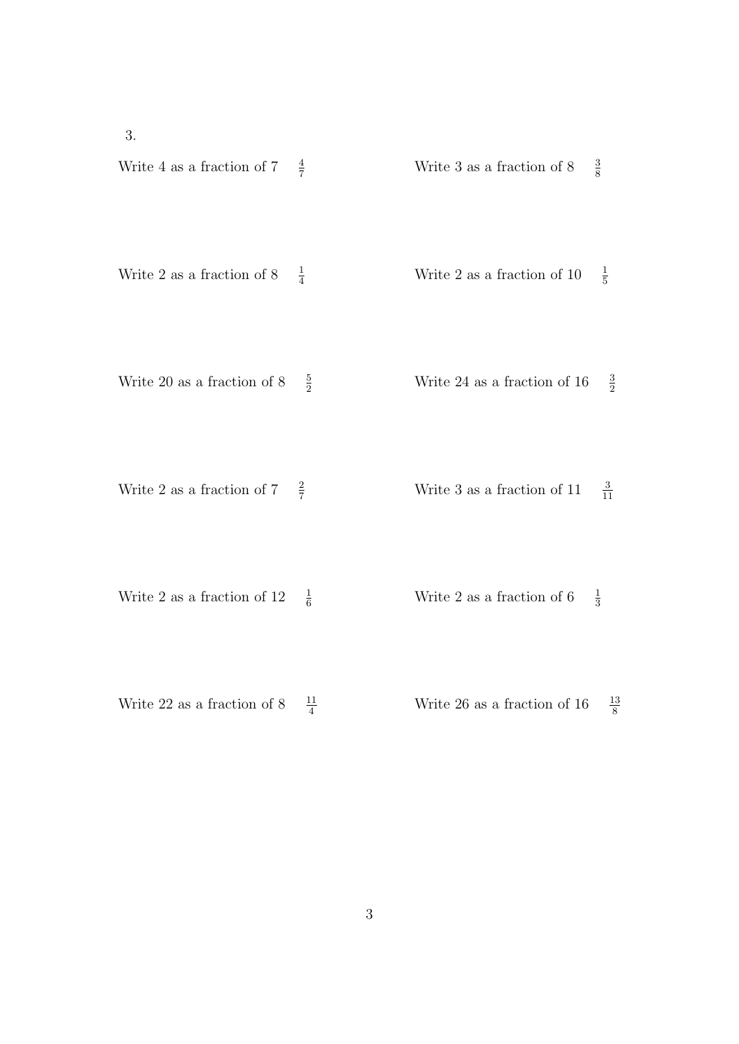3.

| Write 4 as a fraction of $7$   | $rac{4}{7}$    | $rac{3}{8}$<br>Write 3 as a fraction of $8$          |
|--------------------------------|----------------|------------------------------------------------------|
| Write 2 as a fraction of $8$   | $\frac{1}{4}$  | $\frac{1}{5}$<br>Write 2 as a fraction of 10         |
| Write 20 as a fraction of $8$  | $\frac{5}{2}$  | $rac{3}{2}$<br>Write 24 as a fraction of $16$        |
| Write 2 as a fraction of $7\,$ | $rac{2}{7}$    | $rac{3}{11}$<br>Write 3 as a fraction of $11$        |
| Write 2 as a fraction of $12$  | $\frac{1}{6}$  | $\frac{1}{3}$<br>Write 2 as a fraction of $6\,$      |
| Write 22 as a fraction of $8$  | $\frac{11}{4}$ | $\frac{13}{8}$<br>Write $26$ as a fraction of $16\,$ |